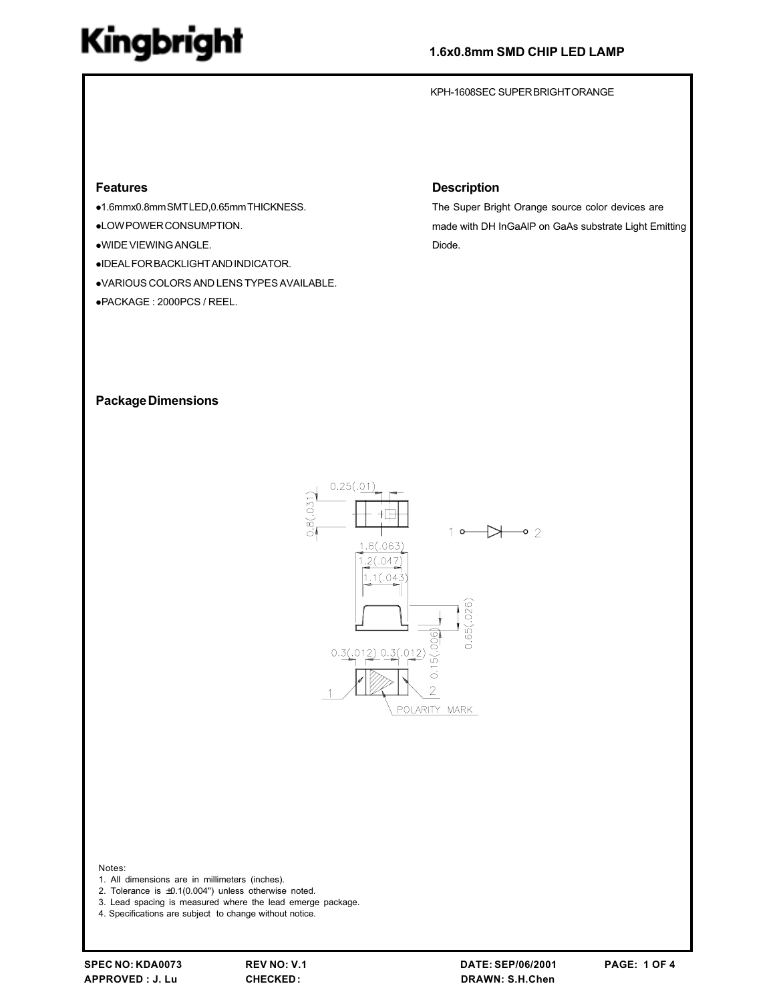## 1.6x0.8mm SMD CHIP LED LAMP

KPH-1608SEC SUPERBRIGHTORANGE

#### **Features**

- ●1.6mmx0.8mmSMTLED,0.65mmTHICKNESS.
- ·LOW POWER CONSUMPTION.
- .WIDE VIEWING ANGLE.
- ·IDEAL FOR BACKLIGHT AND INDICATOR.
- .VARIOUS COLORS AND LENS TYPES AVAILABLE.
- ●PACKAGE: 2000PCS / REEL.

### **Description**

The Super Bright Orange source color devices are made with DH InGaAIP on GaAs substrate Light Emitting Diode.

#### **Package Dimensions**



#### Notes:

- 1. All dimensions are in millimeters (inches).
- 2. Tolerance is  $\pm 0.1(0.004)$  unless otherwise noted.
- 3. Lead spacing is measured where the lead emerge package.
- 4. Specifications are subject to change without notice.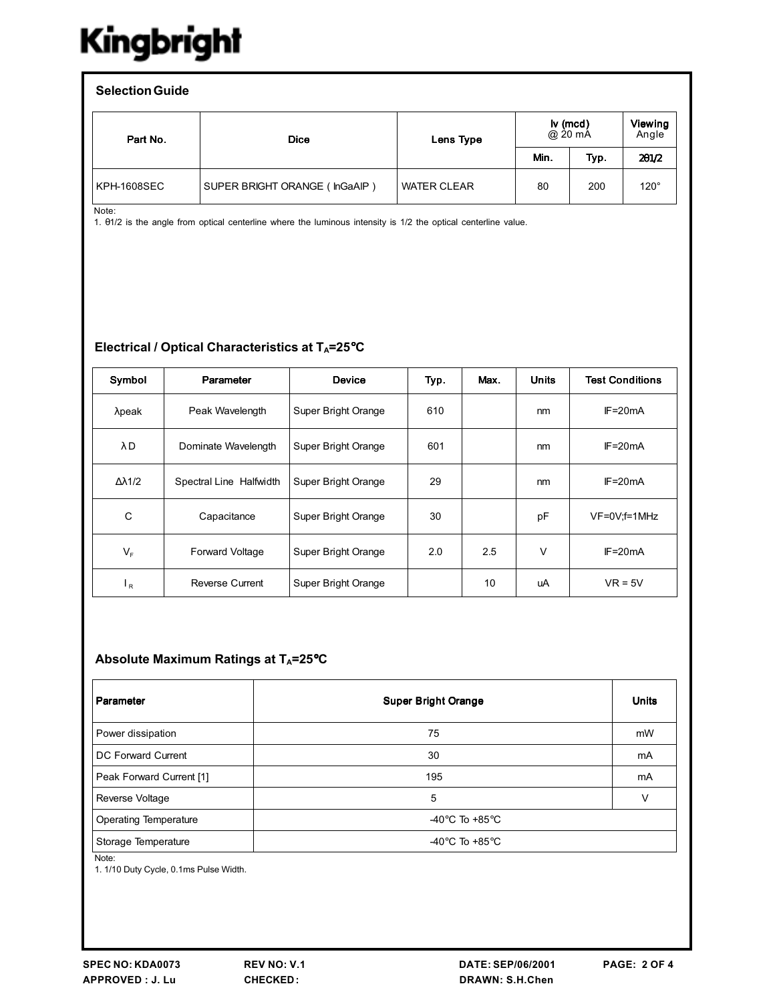| <b>Selection Guide</b> |                               |                    |                     |      |                         |  |  |  |  |
|------------------------|-------------------------------|--------------------|---------------------|------|-------------------------|--|--|--|--|
| Part No.               | <b>Dice</b>                   | Lens Type          | lv (mcd)<br>@ 20 mA |      | <b>Viewing</b><br>Angle |  |  |  |  |
|                        |                               |                    | Min.                | Typ. | 201/2                   |  |  |  |  |
| KPH-1608SEC            | SUPER BRIGHT ORANGE (InGaAIP) | <b>WATER CLEAR</b> | 80                  | 200  | $120^\circ$             |  |  |  |  |

Note:

1. 01/2 is the angle from optical centerline where the luminous intensity is 1/2 the optical centerline value.

## Electrical / Optical Characteristics at TA=25°C

| Symbol   | Parameter               | <b>Device</b>       | Typ. | Max. | <b>Units</b> | <b>Test Conditions</b> |
|----------|-------------------------|---------------------|------|------|--------------|------------------------|
| $λ$ peak | Peak Wavelength         | Super Bright Orange | 610  |      | nm           | $IF = 20mA$            |
| λD       | Dominate Wavelength     | Super Bright Orange | 601  |      | nm           | $IF = 20mA$            |
| Δλ1/2    | Spectral Line Halfwidth | Super Bright Orange | 29   |      | nm           | $IF = 20mA$            |
| C        | Capacitance             | Super Bright Orange | 30   |      | pF           | VF=0V;f=1MHz           |
| $V_F$    | <b>Forward Voltage</b>  | Super Bright Orange | 2.0  | 2.5  | V            | $IF = 20mA$            |
| $_{R}$   | Reverse Current         | Super Bright Orange |      | 10   | uA           | $VR = 5V$              |

### Absolute Maximum Ratings at TA=25°C

| Parameter                            | <b>Super Bright Orange</b>         | <b>Units</b> |
|--------------------------------------|------------------------------------|--------------|
| Power dissipation                    | 75                                 | mW           |
| DC Forward Current                   | 30                                 | mA           |
| Peak Forward Current [1]             | 195                                | mA           |
| Reverse Voltage                      | 5                                  | ν            |
| <b>Operating Temperature</b>         | -40 $\degree$ C To +85 $\degree$ C |              |
| Storage Temperature<br>$\sim$ $\sim$ | -40 $\degree$ C To +85 $\degree$ C |              |

Note:

1. 1/10 Duty Cycle, 0.1ms Pulse Width.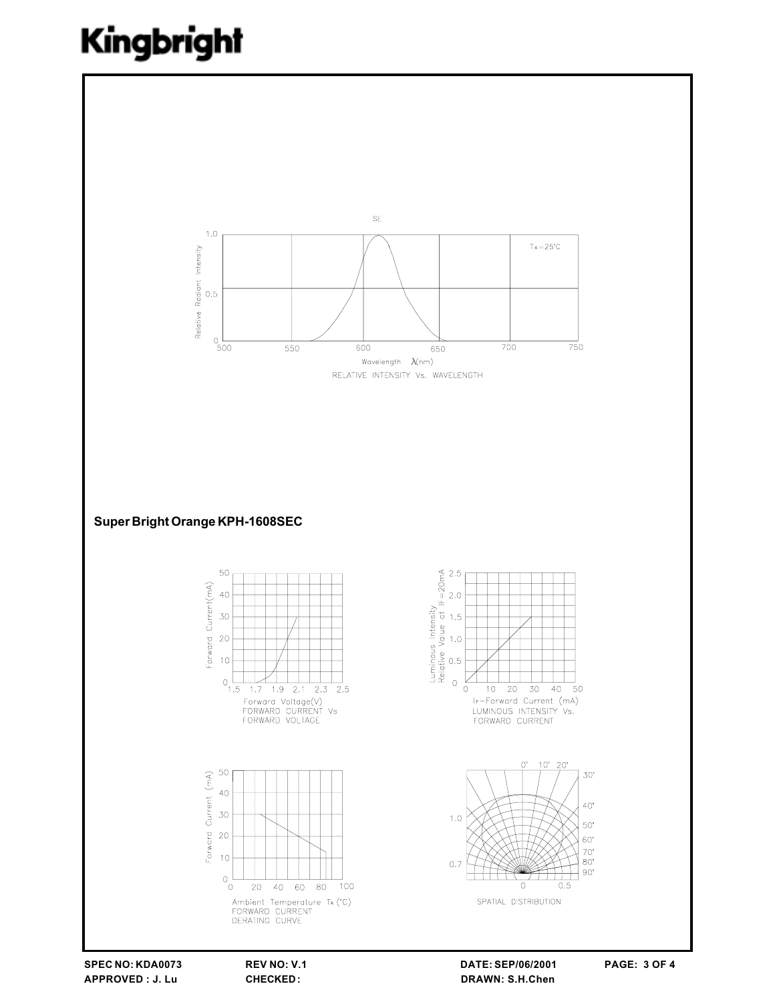

SPEC NO: KDA0073 APPROVED : J. Lu

REV NO: V.1 **CHECKED:** 

DATE: SEP/06/2001 DRAWN: S.H.Chen